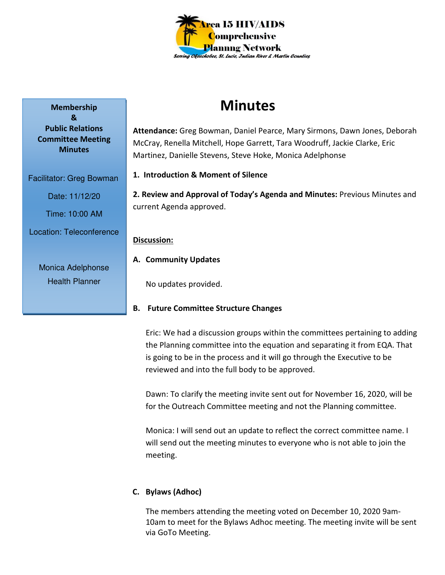

# **Minutes**

**Attendance:** Greg Bowman, Daniel Pearce, Mary Sirmons, Dawn Jones, Deborah McCray, Renella Mitchell, Hope Garrett, Tara Woodruff, Jackie Clarke, Eric Martinez, Danielle Stevens, Steve Hoke, Monica Adelphonse

**1. Introduction & Moment of Silence** 

**2. Review and Approval of Today's Agenda and Minutes:** Previous Minutes and current Agenda approved.

### **Discussion:**

**A. Community Updates** 

No updates provided.

## **B. Future Committee Structure Changes**

Eric: We had a discussion groups within the committees pertaining to adding the Planning committee into the equation and separating it from EQA. That is going to be in the process and it will go through the Executive to be reviewed and into the full body to be approved.

Dawn: To clarify the meeting invite sent out for November 16, 2020, will be for the Outreach Committee meeting and not the Planning committee.

Monica: I will send out an update to reflect the correct committee name. I will send out the meeting minutes to everyone who is not able to join the meeting.

## **C. Bylaws (Adhoc)**

The members attending the meeting voted on December 10, 2020 9am-10am to meet for the Bylaws Adhoc meeting. The meeting invite will be sent via GoTo Meeting.

**Membership & Public Relations Committee Meeting Minutes** 

Time: 10:00 AM Location: Teleconference

Facilitator: Greg Bowman

Date: 11/12/20

Monica Adelphonse Health Planner